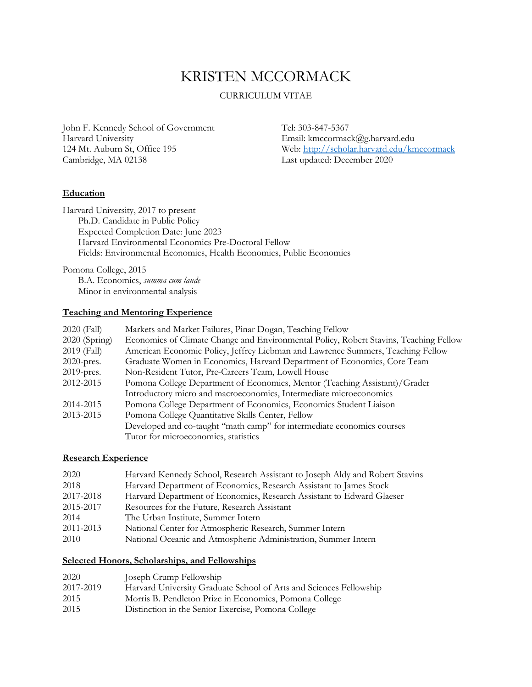# KRISTEN MCCORMACK

## CURRICULUM VITAE

John F. Kennedy School of Government Tel: 303-847-5367

Email: kmccormack@g.harvard.edu 124 Mt. Auburn St, Office 195 Web: <u>http://scholar.harvard.edu/kmccormack</u><br>Cambridge, MA 02138 Last updated: December 2020 Last updated: December 2020

#### **Education**

Harvard University, 2017 to present Ph.D. Candidate in Public Policy Expected Completion Date: June 2023 Harvard Environmental Economics Pre-Doctoral Fellow Fields: Environmental Economics, Health Economics, Public Economics

Pomona College, 2015

B.A. Economics, *summa cum laude* Minor in environmental analysis

## **Teaching and Mentoring Experience**

| 2020 (Fall)     | Markets and Market Failures, Pinar Dogan, Teaching Fellow                             |
|-----------------|---------------------------------------------------------------------------------------|
| $2020$ (Spring) | Economics of Climate Change and Environmental Policy, Robert Stavins, Teaching Fellow |
| 2019 (Fall)     | American Economic Policy, Jeffrey Liebman and Lawrence Summers, Teaching Fellow       |
| $2020$ -pres.   | Graduate Women in Economics, Harvard Department of Economics, Core Team               |
| $2019$ -pres.   | Non-Resident Tutor, Pre-Careers Team, Lowell House                                    |
| 2012-2015       | Pomona College Department of Economics, Mentor (Teaching Assistant)/Grader            |
|                 | Introductory micro and macroeconomics, Intermediate microeconomics                    |
| 2014-2015       | Pomona College Department of Economics, Economics Student Liaison                     |
| 2013-2015       | Pomona College Quantitative Skills Center, Fellow                                     |
|                 | Developed and co-taught "math camp" for intermediate economics courses                |
|                 | Tutor for microeconomics, statistics                                                  |

#### **Research Experience**

| 2020      | Harvard Kennedy School, Research Assistant to Joseph Aldy and Robert Stavins |
|-----------|------------------------------------------------------------------------------|
| 2018      | Harvard Department of Economics, Research Assistant to James Stock           |
| 2017-2018 | Harvard Department of Economics, Research Assistant to Edward Glaeser        |
| 2015-2017 | Resources for the Future, Research Assistant                                 |
| 2014      | The Urban Institute, Summer Intern                                           |
| 2011-2013 | National Center for Atmospheric Research, Summer Intern                      |
| 2010      | National Oceanic and Atmospheric Administration, Summer Intern               |

### **Selected Honors, Scholarships, and Fellowships**

| 2020      | Joseph Crump Fellowship                                            |
|-----------|--------------------------------------------------------------------|
| 2017-2019 | Harvard University Graduate School of Arts and Sciences Fellowship |
| 2015      | Morris B. Pendleton Prize in Economics, Pomona College             |
| 2015      | Distinction in the Senior Exercise, Pomona College                 |